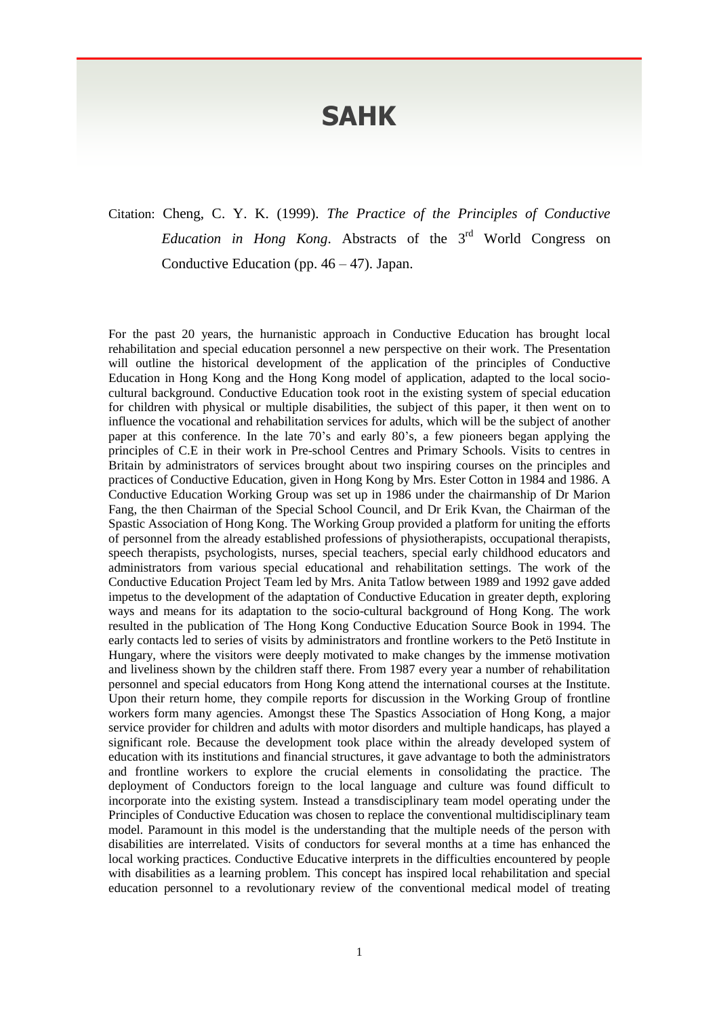## **SAHK**

## Citation: Cheng, C. Y. K. (1999). *The Practice of the Principles of Conductive*  Education in Hong Kong. Abstracts of the 3<sup>rd</sup> World Congress on Conductive Education (pp.  $46 - 47$ ). Japan.

For the past 20 years, the hurnanistic approach in Conductive Education has brought local rehabilitation and special education personnel a new perspective on their work. The Presentation will outline the historical development of the application of the principles of Conductive Education in Hong Kong and the Hong Kong model of application, adapted to the local sociocultural background. Conductive Education took root in the existing system of special education for children with physical or multiple disabilities, the subject of this paper, it then went on to influence the vocational and rehabilitation services for adults, which will be the subject of another paper at this conference. In the late 70's and early 80's, a few pioneers began applying the principles of C.E in their work in Pre-school Centres and Primary Schools. Visits to centres in Britain by administrators of services brought about two inspiring courses on the principles and practices of Conductive Education, given in Hong Kong by Mrs. Ester Cotton in 1984 and 1986. A Conductive Education Working Group was set up in 1986 under the chairmanship of Dr Marion Fang, the then Chairman of the Special School Council, and Dr Erik Kvan, the Chairman of the Spastic Association of Hong Kong. The Working Group provided a platform for uniting the efforts of personnel from the already established professions of physiotherapists, occupational therapists, speech therapists, psychologists, nurses, special teachers, special early childhood educators and administrators from various special educational and rehabilitation settings. The work of the Conductive Education Project Team led by Mrs. Anita Tatlow between 1989 and 1992 gave added impetus to the development of the adaptation of Conductive Education in greater depth, exploring ways and means for its adaptation to the socio-cultural background of Hong Kong. The work resulted in the publication of The Hong Kong Conductive Education Source Book in 1994. The early contacts led to series of visits by administrators and frontline workers to the Petö Institute in Hungary, where the visitors were deeply motivated to make changes by the immense motivation and liveliness shown by the children staff there. From 1987 every year a number of rehabilitation personnel and special educators from Hong Kong attend the international courses at the Institute. Upon their return home, they compile reports for discussion in the Working Group of frontline workers form many agencies. Amongst these The Spastics Association of Hong Kong, a major service provider for children and adults with motor disorders and multiple handicaps, has played a significant role. Because the development took place within the already developed system of education with its institutions and financial structures, it gave advantage to both the administrators and frontline workers to explore the crucial elements in consolidating the practice. The deployment of Conductors foreign to the local language and culture was found difficult to incorporate into the existing system. Instead a transdisciplinary team model operating under the Principles of Conductive Education was chosen to replace the conventional multidisciplinary team model. Paramount in this model is the understanding that the multiple needs of the person with disabilities are interrelated. Visits of conductors for several months at a time has enhanced the local working practices. Conductive Educative interprets in the difficulties encountered by people with disabilities as a learning problem. This concept has inspired local rehabilitation and special education personnel to a revolutionary review of the conventional medical model of treating